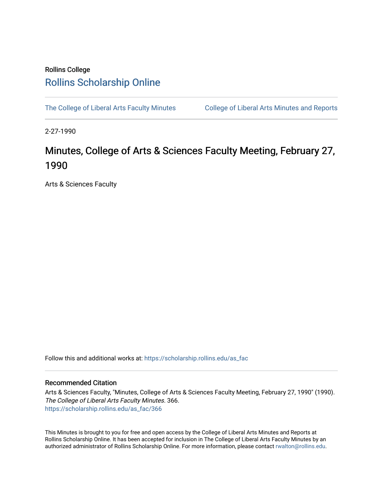## Rollins College [Rollins Scholarship Online](https://scholarship.rollins.edu/)

[The College of Liberal Arts Faculty Minutes](https://scholarship.rollins.edu/as_fac) College of Liberal Arts Minutes and Reports

2-27-1990

# Minutes, College of Arts & Sciences Faculty Meeting, February 27, 1990

Arts & Sciences Faculty

Follow this and additional works at: [https://scholarship.rollins.edu/as\\_fac](https://scholarship.rollins.edu/as_fac?utm_source=scholarship.rollins.edu%2Fas_fac%2F366&utm_medium=PDF&utm_campaign=PDFCoverPages) 

### Recommended Citation

Arts & Sciences Faculty, "Minutes, College of Arts & Sciences Faculty Meeting, February 27, 1990" (1990). The College of Liberal Arts Faculty Minutes. 366. [https://scholarship.rollins.edu/as\\_fac/366](https://scholarship.rollins.edu/as_fac/366?utm_source=scholarship.rollins.edu%2Fas_fac%2F366&utm_medium=PDF&utm_campaign=PDFCoverPages) 

This Minutes is brought to you for free and open access by the College of Liberal Arts Minutes and Reports at Rollins Scholarship Online. It has been accepted for inclusion in The College of Liberal Arts Faculty Minutes by an authorized administrator of Rollins Scholarship Online. For more information, please contact [rwalton@rollins.edu](mailto:rwalton@rollins.edu).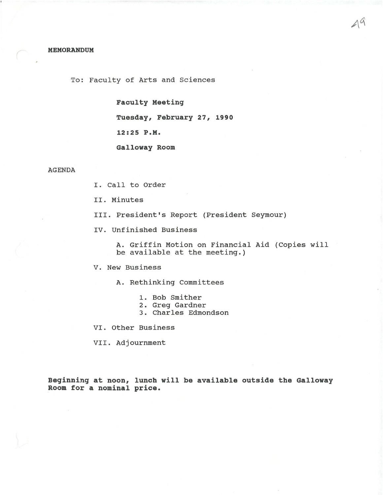To: Faculty of Arts and Sciences

**Faculty Meeting** 

**Tuesday, February 27, 1990** 

**12:25 P.M.** 

**Galloway Room** 

#### AGENDA

I. Call to Order

II. Minutes

III. President's Report (President Seymour)

IV. Unfinished Business

A. Griffin Motion on Financial Aid (Copies will be available at the meeting.)

V. New Business

A. Rethinking Committees

- 1. Bob Smither
- 2. Greg Gardner
- 3. Charles Edmondson

VI. Other Business

VII. Adjournment

**Beginning at noon, lunch will be available outside the Galloway Room for a nominal price.**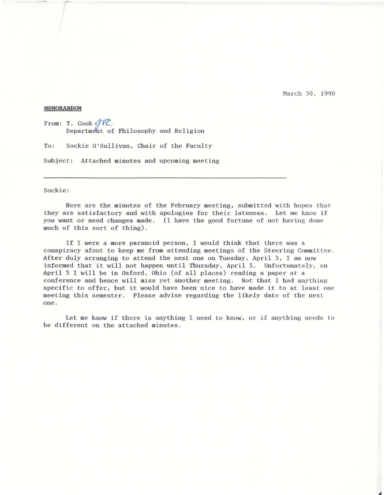March 30, 1990

#### **MEMORANDUM**

From: T. Cook  $\cancel{\text{TC}}$ Department of Philosophy and Religion

To: Sockie O'Sullivan, Chair of the Faculty

Subject: Attached minutes and upcoming meeting

#### Sockie:

Here are the minutes of the February meeting, submitted with hopes that they are satisfactory and with apologies for their lateness. Let me know if you want or need changes made. (I have the good fortune of not having done much of this sort of thing),

If I were a more paranoid person, I would think that there was a conspiracy afoot to keep me from attending meetings of the Steering Committee . After duly arranging to attend the next one on Tuesday, April 3, I am now informed that it will not happen until Thursday, April 5. Unfortunately, on April 5 I will be in Oxford, Ohio (of all places) reading a paper at a conference and hence will miss yet another meeting. Not that I had anything specific to. offer, but it would have been nice to have made it to at least one meeting this semester. Please advise regarding the likely date of the next one.

Let me know if there is anything I need to know, or if anything needs to be different on the attached minutes.